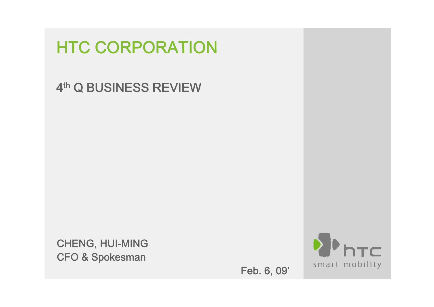# **HTC CORPORATION**

#### 4<sup>th</sup> Q BUSINESS REVIEW

CHENG, HUI-MING CFO & Spokesman

Feb. 6, 09'

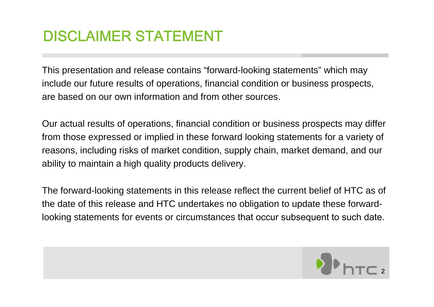# DISCLAIMER STATEMENT

This presentation and release contains "forward-looking statements" which may include our future results of operations, financial condition or business prospects, are based on our own information and from other sources.

Our actual results of operations, financial condition or business prospects may differ from those expressed or implied in these forward looking statements for a variety of reasons, including risks of market condition, supply chain, market demand, and our ability to maintain a high quality products delivery.

The forward-looking statements in this release reflect the current belief of HTC as of the date of this release and HTC undertakes no obligation to update these forwardlooking statements for events or circumstances that occur subsequent to such date.

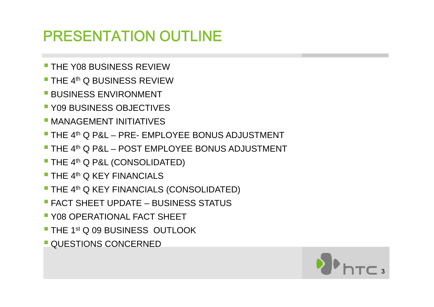# PRESENTATION OUTLINE

- **THE Y08 BUSINESS REVIEW**
- **THE 4th Q BUSINESS REVIEW**
- **BUSINESS ENVIRONMENT**
- **Y09 BUSINESS OBJECTIVES**
- **MANAGEMENT INITIATIVES**
- **THE 4th Q P&L PRE- EMPLOYEE BONUS ADJUSTMENT**
- **THE 4th Q P&L POST EMPLOYEE BONUS ADJUSTMENT**
- **THE 4th Q P&L (CONSOLIDATED)**
- **THE 4th Q KEY FINANCIALS**
- $\blacksquare$  THE 4<sup>th</sup> Q KEY FINANCIALS (CONSOLIDATED)
- **FACT SHEET UPDATE BUSINESS STATUS**
- **Y08 OPERATIONAL FACT SHEET**
- **THE 1st Q 09 BUSINESS OUTLOOK**

3

**QUESTIONS CONCERNED**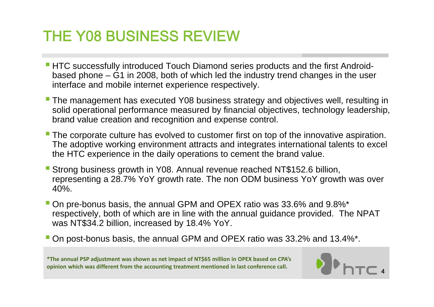## THE Y08 BUSINESS REVIEW

- **HTC successfully introduced Touch Diamond series products and the first Android**based phone – G1 in 2008, both of which led the industry trend changes in the user interface and mobile internet experience respectively.
- **The management has executed Y08 business strategy and objectives well, resulting in** solid operational performance measured by financial objectives, technology leadership, brand value creation and recognition and expense control.
- **The corporate culture has evolved to customer first on top of the innovative aspiration.** The adoptive working environment attracts and integrates international talents to excel the HTC experience in the daily operations to cement the brand value.
- Strong business growth in Y08. Annual revenue reached NT\$152.6 billion, representing a 28.7% YoY growth rate. The non ODM business YoY growth was over 40%.
- On pre-bonus basis, the annual GPM and OPEX ratio was 33.6% and 9.8%\* respectively, both of which are in line with the annual guidance provided. The NPAT was NT\$34.2 billion, increased by 18.4% YoY.
- On post-bonus basis, the annual GPM and OPEX ratio was 33.2% and 13.4%\*.

\*The annual PSP adjustment was shown as net impact of NT\$65 million in OPEX based on CPA's **opinion which was different from the accounting treatment mentioned in last conference call.**

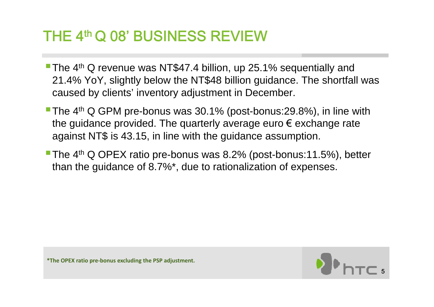## THE 4th Q 08' BUSINESS REVIEW

- **The 4<sup>th</sup> Q revenue was NT\$47.4 billion, up 25.1% sequentially and** 21.4% YoY, slightly below the NT\$48 billion guidance. The shortfall was caused by clients' inventory adjustment in December.
- **The 4<sup>th</sup> Q GPM pre-bonus was 30.1% (post-bonus:29.8%), in line with** the guidance provided. The quarterly average euro € exchange rate against NT\$ is 43.15, in line with the guidance assumption.
- The 4<sup>th</sup> Q OPEX ratio pre-bonus was 8.2% (post-bonus:11.5%), better than the guidance of 8.7%\*, due to rationalization of expenses.

**\*The OPEX ratio pre‐bonus excluding the PSP adjustment.**

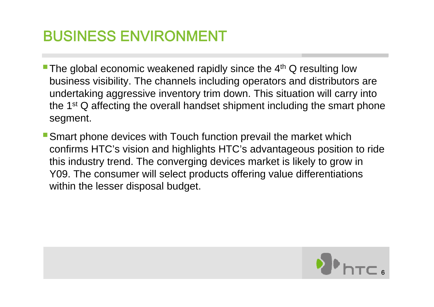# BUSINESS ENVIRONMENT

- The global economic weakened rapidly since the  $4<sup>th</sup>$  Q resulting low business visibility. The channels including operators and distributors are undertaking aggressive inventory trim down. This situation will carry into the 1<sup>st</sup> Q affecting the overall handset shipment including the smart phone segment.
- Smart phone devices with Touch function prevail the market which confirms HTC's vision and highlights HTC's advantageous position to ride this industry trend. The converging devices market is likely to grow in Y09. The consumer will select products offering value differentiations within the lesser disposal budget.

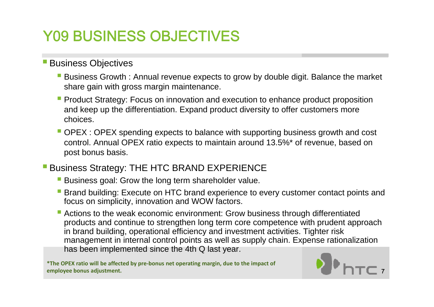# Y09 BUSINESS OBJECTIVES

#### **Business Objectives**

- **Business Growth : Annual revenue expects to grow by double digit. Balance the market** share gain with gross margin maintenance.
- **Product Strategy: Focus on innovation and execution to enhance product proposition** and keep up the differentiation. Expand product diversity to offer customers more choices.
- OPEX : OPEX spending expects to balance with supporting business growth and cost control. Annual OPEX ratio expects to maintain around 13.5%\* of revenue, based on post bonus basis.
- **Business Strategy: THE HTC BRAND EXPERIENCE** 
	- **Business goal: Grow the long term shareholder value.**
	- **Brand building: Execute on HTC brand experience to every customer contact points and** focus on simplicity, innovation and WOW factors.
	- Actions to the weak economic environment: Grow business through differentiated products and continue to strengthen long term core competence with prudent approach in brand building, operational efficiency and investment activities. Tighter risk management in internal control points as well as supply chain. Expense rationalization has been implemented since the 4th Q last year.

**\*The OPEX ratio will be affected by pre‐bonus net operating margin, due to the impact of employee bonus adjustment.**

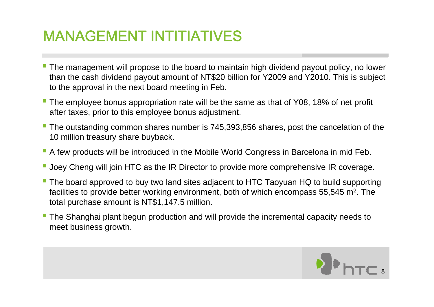## MANAGEMENT INTITIATIVES

- The management will propose to the board to maintain high dividend payout policy, no lower than the cash dividend payout amount of NT\$20 billion for Y2009 and Y2010. This is subject to the approval in the next board meeting in Feb.
- **The employee bonus appropriation rate will be the same as that of Y08, 18% of net profit** after taxes, prior to this employee bonus adjustment.
- **The outstanding common shares number is 745,393,856 shares, post the cancelation of the** 10 million treasury share buyback.
- $\blacksquare$  A few products will be introduced in the Mobile World Congress in Barcelona in mid Feb.
- **Joey Cheng will join HTC as the IR Director to provide more comprehensive IR coverage.**
- **The board approved to buy two land sites adjacent to HTC Taoyuan HQ to build supporting** facilities to provide better working environment, both of which encompass 55,545 m<sup>2</sup>. The total purchase amount is NT\$1,147.5 million.
- **The Shanghai plant begun production and will provide the incremental capacity needs to** meet business growth.

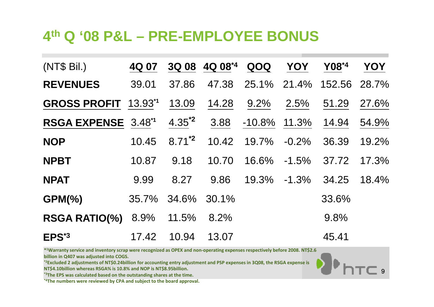#### **4th Q '08 P&L – PRE-EMPLOYEE BONUS**

| (NT\$ Bil.)                     | 4Q 07 |            | 3Q 08 4Q 08*4 | QOQ             | <b>YOY</b> | Y08*4  | YOY   |
|---------------------------------|-------|------------|---------------|-----------------|------------|--------|-------|
| <b>REVENUES</b>                 | 39.01 | 37.86      | 47.38         | 25.1% 21.4%     |            | 152.56 | 28.7% |
| <b>GROSS PROFIT 13.931</b>      |       | 13.09      | 14.28         | 9.2%            | 2.5%       | 51.29  | 27.6% |
| RSGA EXPENSE 3.48 <sup>*1</sup> |       | $4.35^{2}$ | 3.88          | $-10.8\%$ 11.3% |            | 14.94  | 54.9% |
| <b>NOP</b>                      | 10.45 | $8.71^{2}$ | 10.42         | 19.7%           | $-0.2\%$   | 36.39  | 19.2% |
| <b>NPBT</b>                     | 10.87 | 9.18       | 10.70         | 16.6%           | $-1.5\%$   | 37.72  | 17.3% |
| <b>NPAT</b>                     | 9.99  | 8.27       | 9.86          | 19.3%           | $-1.3%$    | 34.25  | 18.4% |
| $GPM(\%)$                       | 35.7% | 34.6%      | 30.1%         |                 |            | 33.6%  |       |
| <b>RSGA RATIO(%)</b>            | 8.9%  | 11.5%      | 8.2%          |                 |            | 9.8%   |       |
| EPS <sup>*3</sup>               | 17.42 | 10.94      | 13.07         |                 |            | 45.41  |       |

9

\*1Warranty service and inventory scrap were recognized as OPEX and non-operating expenses respectively before 2008. NT\$2.6 **billion in Q407 was adjusted into COGS.**

<sup>\*2</sup>Excluded 2 adjustments of NT\$0.24billion for accounting entry adjustment and PSP expenses in 3Q08, the RSGA expense is

**NT\$4.10billion whereas RSGA% is 10.8% and NOP is NT\$8.95billion.**

**\*3The EPS was calculated based on the outstanding shares at the time.**

**\*4The numbers were reviewed by CPA and subject to the board approval.**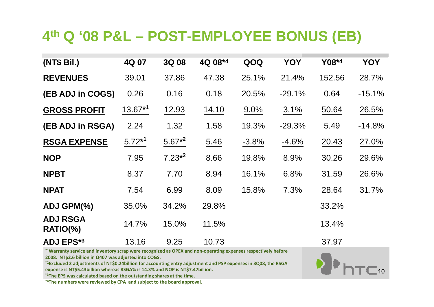### **4th Q '08 P&L – POST-EMPLOYEE BONUS (EB)**

| (NT\$ Bil.)                   | 4Q 07     | 3Q 08     | 4Q 08*4 | QOQ     | YOY      | Y08*4  | YOY      |
|-------------------------------|-----------|-----------|---------|---------|----------|--------|----------|
| <b>REVENUES</b>               | 39.01     | 37.86     | 47.38   | 25.1%   | 21.4%    | 152.56 | 28.7%    |
| (EB ADJ in COGS)              | 0.26      | 0.16      | 0.18    | 20.5%   | $-29.1%$ | 0.64   | $-15.1%$ |
| <b>GROSS PROFIT</b>           | $13.67*1$ | 12.93     | 14.10   | 9.0%    | 3.1%     | 50.64  | 26.5%    |
| (EB ADJ in RSGA)              | 2.24      | 1.32      | 1.58    | 19.3%   | $-29.3%$ | 5.49   | $-14.8%$ |
| <b>RSGA EXPENSE</b>           | $5.72*1$  | $5.67*^2$ | 5.46    | $-3.8%$ | $-4.6%$  | 20.43  | 27.0%    |
| <b>NOP</b>                    | 7.95      | $7.23*^2$ | 8.66    | 19.8%   | 8.9%     | 30.26  | 29.6%    |
| <b>NPBT</b>                   | 8.37      | 7.70      | 8.94    | 16.1%   | 6.8%     | 31.59  | 26.6%    |
| <b>NPAT</b>                   | 7.54      | 6.99      | 8.09    | 15.8%   | 7.3%     | 28.64  | 31.7%    |
| ADJ GPM(%)                    | 35.0%     | 34.2%     | 29.8%   |         |          | 33.2%  |          |
| <b>ADJ RSGA</b><br>$RATIO$ %) | 14.7%     | 15.0%     | 11.5%   |         |          | 13.4%  |          |
| <b>ADJ EPS*3</b>              | 13.16     | 9.25      | 10.73   |         |          | 37.97  |          |

10

**\*1Warranty service and inventory scrap were recognized as OPEX and non‐operating expenses respectively before 2008. NT\$2.6 billion in Q407 was adjusted into COGS.** 

**\*2Excluded <sup>2</sup> adjustments of NT\$0.24billion for accounting entry adjustment and PSP expenses in 3Q08, the RSGA expense is NT\$5.43billion whereas RSGA% is 14.3% and NOP is NT\$7.47bil ion.**

**\*3The EPS was calculated based on the outstanding shares at the time.**

**\*4The numbers were reviewed by CPA and subject to the board approval.**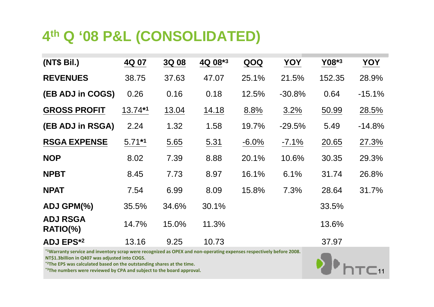#### **4th Q '08 P&L (CONSOLIDATED)**

| (NT\$ Bil.)                   | 4Q 07    | 3Q 08 | 4Q 08*3 | QOQ      | YOY      | Y08*3  | YOY      |
|-------------------------------|----------|-------|---------|----------|----------|--------|----------|
| <b>REVENUES</b>               | 38.75    | 37.63 | 47.07   | 25.1%    | 21.5%    | 152.35 | 28.9%    |
| (EB ADJ in COGS)              | 0.26     | 0.16  | 0.18    | 12.5%    | $-30.8%$ | 0.64   | $-15.1%$ |
| <b>GROSS PROFIT</b>           | 13.74*1  | 13.04 | 14.18   | 8.8%     | 3.2%     | 50.99  | 28.5%    |
| (EB ADJ in RSGA)              | 2.24     | 1.32  | 1.58    | 19.7%    | $-29.5%$ | 5.49   | $-14.8%$ |
| <b>RSGA EXPENSE</b>           | $5.71*1$ | 5.65  | 5.31    | $-6.0\%$ | $-7.1\%$ | 20.65  | 27.3%    |
| <b>NOP</b>                    | 8.02     | 7.39  | 8.88    | 20.1%    | 10.6%    | 30.35  | 29.3%    |
| <b>NPBT</b>                   | 8.45     | 7.73  | 8.97    | 16.1%    | 6.1%     | 31.74  | 26.8%    |
| <b>NPAT</b>                   | 7.54     | 6.99  | 8.09    | 15.8%    | 7.3%     | 28.64  | 31.7%    |
| ADJ GPM(%)                    | 35.5%    | 34.6% | 30.1%   |          |          | 33.5%  |          |
| <b>ADJ RSGA</b><br>$RATIO$ %) | 14.7%    | 15.0% | 11.3%   |          |          | 13.6%  |          |
| <b>ADJ EPS*2</b>              | 13.16    | 9.25  | 10.73   |          |          | 37.97  |          |

\*1Warranty service and inventory scrap were recognized as OPEX and non-operating expenses respectively before 2008. **NT\$1.3billion in Q407 was adjusted into COGS.** 

**\*2The EPS was calculated based on the outstanding shares at the time.**

**\*3The numbers were reviewed by CPA and subject to the board approval.**

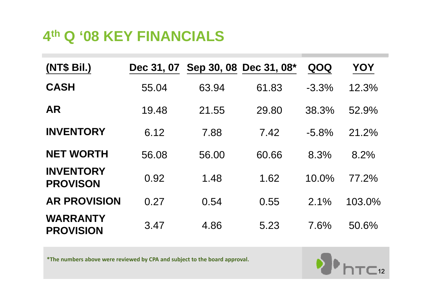### **4th Q '08 KEY FINANCIALS**

| (NT\$ Bil.)                         | Dec 31, 07 |       | Sep 30, 08 Dec 31, 08* | QOQ      | YOY    |
|-------------------------------------|------------|-------|------------------------|----------|--------|
| <b>CASH</b>                         | 55.04      | 63.94 | 61.83                  | $-3.3\%$ | 12.3%  |
| <b>AR</b>                           | 19.48      | 21.55 | 29.80                  | 38.3%    | 52.9%  |
| <b>INVENTORY</b>                    | 6.12       | 7.88  | 7.42                   | $-5.8%$  | 21.2%  |
| <b>NET WORTH</b>                    | 56.08      | 56.00 | 60.66                  | 8.3%     | 8.2%   |
| <b>INVENTORY</b><br><b>PROVISON</b> | 0.92       | 1.48  | 1.62                   | 10.0%    | 77.2%  |
| <b>AR PROVISION</b>                 | 0.27       | 0.54  | 0.55                   | 2.1%     | 103.0% |
| <b>WARRANTY</b><br><b>PROVISION</b> | 3.47       | 4.86  | 5.23                   | 7.6%     | 50.6%  |

\*The numbers above were reviewed by CPA and subject to the board approval.

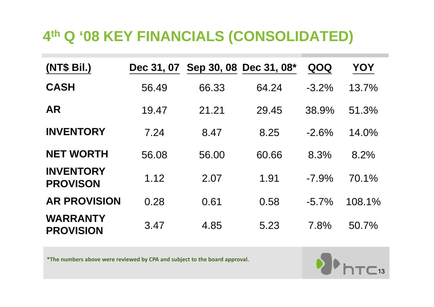## **4th Q '08 KEY FINANCIALS (CONSOLIDATED)**

| (NT\$ Bil.)                         | Dec 31, 07 |       | Sep 30, 08 Dec 31, 08* | QOQ      | YOY    |
|-------------------------------------|------------|-------|------------------------|----------|--------|
| <b>CASH</b>                         | 56.49      | 66.33 | 64.24                  | $-3.2\%$ | 13.7%  |
| <b>AR</b>                           | 19.47      | 21.21 | 29.45                  | 38.9%    | 51.3%  |
| <b>INVENTORY</b>                    | 7.24       | 8.47  | 8.25                   | $-2.6%$  | 14.0%  |
| <b>NET WORTH</b>                    | 56.08      | 56.00 | 60.66                  | 8.3%     | 8.2%   |
| <b>INVENTORY</b><br><b>PROVISON</b> | 1.12       | 2.07  | 1.91                   | $-7.9\%$ | 70.1%  |
| <b>AR PROVISION</b>                 | 0.28       | 0.61  | 0.58                   | $-5.7\%$ | 108.1% |
| <b>WARRANTY</b><br><b>PROVISION</b> | 3.47       | 4.85  | 5.23                   | 7.8%     | 50.7%  |

\*The numbers above were reviewed by CPA and subject to the board approval.

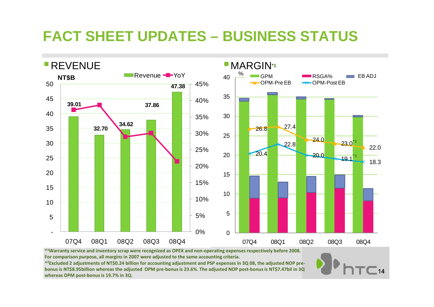## **FACT SHEET UPDATES – BUSINESS STATUS**



 $-14$ 

**For comparison purpose all margins in 2007 were adjusted to the same accounting criteria purpose, criteria.**

\*2Excluded 2 adjustments of NT\$0.24 billion for accounting adjustment and PSP expenses in 3Q 08, the adjusted NOP prebonus is NT\$8.95billion whereas the adjusted OPM pre-bonus is 23.6%. The adjusted NOP post-bonus is NT\$7.47bil in 3Q **whereas OPM post‐bonus is 19.7% in 3Q.**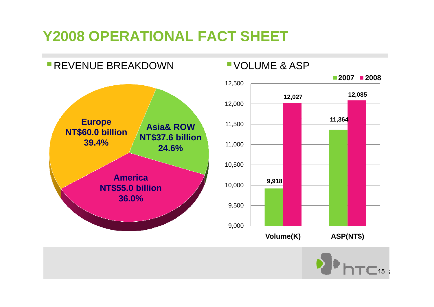## **Y2008 OPERATIONAL FACT SHEET**



VOLUME & ASP



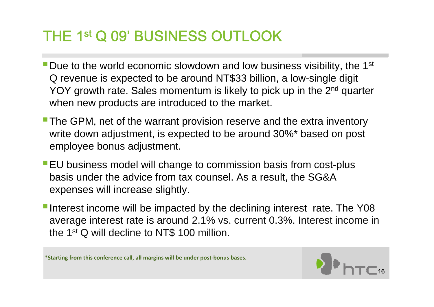## THE 1st Q 09' BUSINESS OUTLOOK

- **Due to the world economic slowdown and low business visibility, the 1st** Q revenue is expected to be around NT\$33 billion, a low-single digit YOY growth rate. Sales momentum is likely to pick up in the 2<sup>nd</sup> quarter when new products are introduced to the market.
- The GPM, net of the warrant provision reserve and the extra inventory write down adjustment, is expected to be around 30%\* based on post employee bonus adjustment.
- **EU** business model will change to commission basis from cost-plus basis under the advice from tax counsel. As a result, the SG&A expenses will increase slightly.
- Interest income will be impacted by the declining interest rate. The Y08 average interest rate is around 2.1% vs. current 0.3%. Interest income in the 1<sup>st</sup> Q will decline to NT\$ 100 million.

**\*Starting from this conference call all margins will be under post bonus bases Startingcall, ‐bases.**

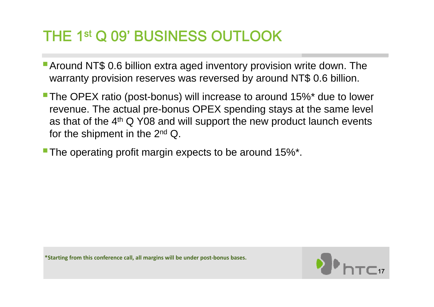## THE 1st Q 09' BUSINESS OUTLOOK

- **Around NT\$ 0.6 billion extra aged inventory provision write down. The** warranty provision reserves was reversed by around NT\$ 0.6 billion.
- **The OPEX ratio (post-bonus) will increase to around 15%\* due to lower** revenue. The actual pre-bonus OPEX spending stays at the same level as that of the 4<sup>th</sup> Q Y08 and will support the new product launch events for the shipment in the 2<sup>nd</sup> Q.
- The operating profit margin expects to be around  $15\%$ <sup>\*</sup>.

**\*Starting from this conference call all margins will be under post bonus bases Startingcall, ‐bases.**

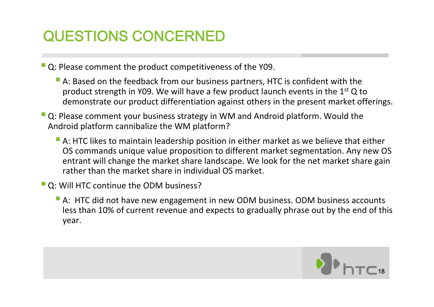# QUESTIONS CONCERNED

Q: Please comment the product competitiveness of the Y09.

- A: Based on the feedback from our business partners, HTC is confident with the product strength in Y09. We will have a few product launch events in the 1<sup>st</sup> Q to demonstrate our product differentiation against others in the present market offerings.
- Q: Please comment your business strategy in WM and Android platform. Would the Android platform cannibalize the WM platform?
	- **A: HTC likes to maintain leadership position in either market as we believe that either** OS commands unique value proposition to different market segmentation. Any new OS entrant will change the market share landscape. We look for the net market share gain rather than the market share in individual OS market.
- **Q: Will HTC continue the ODM business?** 
	- **A: HTC did not have new engagement in new ODM business. ODM business accounts** less than 10% of current revenue and expects to gradually phrase out by the end of this year.

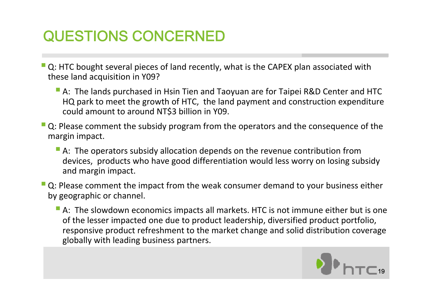# QUESTIONS CONCERNED

- **Q**: HTC bought several pieces of land recently, what is the CAPEX plan associated with these land acquisition in Y09?
	- **A: The lands purchased in Hsin Tien and Taoyuan are for Taipei R&D Center and HTC** HQ park to meet the growth of HTC, the land payment and construction expenditure could amount to around NT\$3 billion in Y09.
- **Q**: Please comment the subsidy program from the operators and the consequence of the margin impact.
	- **A: The operators subsidy allocation depends on the revenue contribution from** devices, products who have good differentiation would less worry on losing subsidy and margin impact.
- **Q**: Please comment the impact from the weak consumer demand to your business either by geographic or channel.
	- **A:** The slowdown economics impacts all markets. HTC is not immune either but is one of the lesser impacted one due to product leadership, diversified product portfolio, responsive product refreshment to the market change and solid distribution coverage globally with leading business partners.